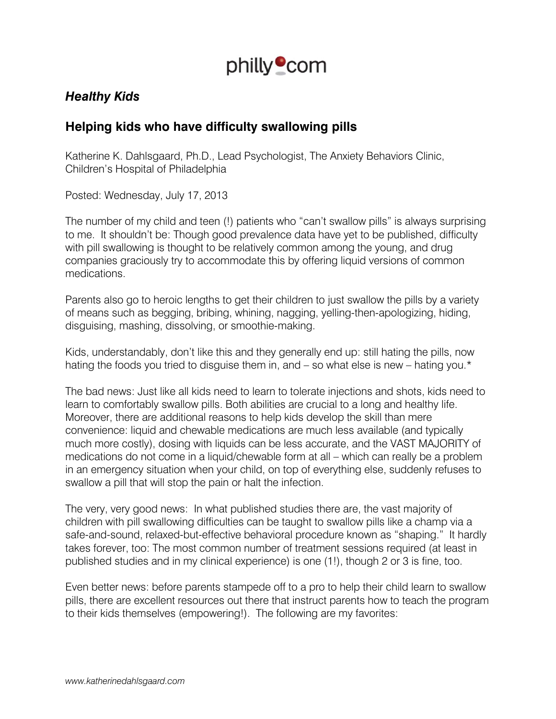

## *Healthy Kids*

## **Helping kids who have difficulty swallowing pills**

Katherine K. Dahlsgaard, Ph.D., Lead Psychologist, The Anxiety Behaviors Clinic, Children's Hospital of Philadelphia

Posted: Wednesday, July 17, 2013

The number of my child and teen (!) patients who "can't swallow pills" is always surprising to me. It shouldn't be: Though good prevalence data have yet to be published, difficulty with pill swallowing is thought to be relatively common among the young, and drug companies graciously try to accommodate this by offering liquid versions of common medications.

Parents also go to heroic lengths to get their children to just swallow the pills by a variety of means such as begging, bribing, whining, nagging, yelling-then-apologizing, hiding, disguising, mashing, dissolving, or smoothie-making.

Kids, understandably, don't like this and they generally end up: still hating the pills, now hating the foods you tried to disguise them in, and – so what else is new – hating you.\*

The bad news: Just like all kids need to learn to tolerate injections and shots, kids need to learn to comfortably swallow pills. Both abilities are crucial to a long and healthy life. Moreover, there are additional reasons to help kids develop the skill than mere convenience: liquid and chewable medications are much less available (and typically much more costly), dosing with liquids can be less accurate, and the VAST MAJORITY of medications do not come in a liquid/chewable form at all – which can really be a problem in an emergency situation when your child, on top of everything else, suddenly refuses to swallow a pill that will stop the pain or halt the infection.

The very, very good news: In what published studies there are, the vast majority of children with pill swallowing difficulties can be taught to swallow pills like a champ via a safe-and-sound, relaxed-but-effective behavioral procedure known as "shaping." It hardly takes forever, too: The most common number of treatment sessions required (at least in published studies and in my clinical experience) is one (1!), though 2 or 3 is fine, too.

Even better news: before parents stampede off to a pro to help their child learn to swallow pills, there are excellent resources out there that instruct parents how to teach the program to their kids themselves (empowering!). The following are my favorites: